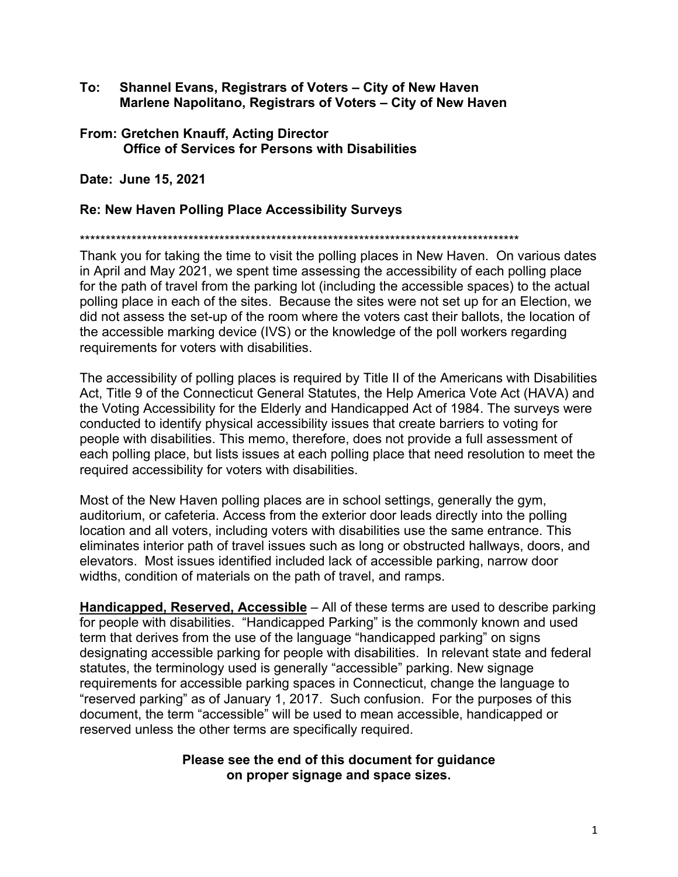- **To: Shannel Evans, Registrars of Voters City of New Haven Marlene Napolitano, Registrars of Voters – City of New Haven**
- **From: Gretchen Knauff, Acting Director Office of Services for Persons with Disabilities**

**Date: June 15, 2021** 

#### **Re: New Haven Polling Place Accessibility Surveys**

\*\*\*\*\*\*\*\*\*\*\*\*\*\*\*\*\*\*\*\*\*\*\*\*\*\*\*\*\*\*\*\*\*\*\*\*\*\*\*\*\*\*\*\*\*\*\*\*\*\*\*\*\*\*\*\*\*\*\*\*\*\*\*\*\*\*\*\*\*\*\*\*\*\*\*\*\*\*\*\*\*\*\*\*\*

Thank you for taking the time to visit the polling places in New Haven. On various dates in April and May 2021, we spent time assessing the accessibility of each polling place for the path of travel from the parking lot (including the accessible spaces) to the actual polling place in each of the sites. Because the sites were not set up for an Election, we did not assess the set-up of the room where the voters cast their ballots, the location of the accessible marking device (IVS) or the knowledge of the poll workers regarding requirements for voters with disabilities.

The accessibility of polling places is required by Title II of the Americans with Disabilities Act, Title 9 of the Connecticut General Statutes, the Help America Vote Act (HAVA) and the Voting Accessibility for the Elderly and Handicapped Act of 1984. The surveys were conducted to identify physical accessibility issues that create barriers to voting for people with disabilities. This memo, therefore, does not provide a full assessment of each polling place, but lists issues at each polling place that need resolution to meet the required accessibility for voters with disabilities.

Most of the New Haven polling places are in school settings, generally the gym, auditorium, or cafeteria. Access from the exterior door leads directly into the polling location and all voters, including voters with disabilities use the same entrance. This eliminates interior path of travel issues such as long or obstructed hallways, doors, and elevators. Most issues identified included lack of accessible parking, narrow door widths, condition of materials on the path of travel, and ramps.

**Handicapped, Reserved, Accessible** – All of these terms are used to describe parking for people with disabilities. "Handicapped Parking" is the commonly known and used term that derives from the use of the language "handicapped parking" on signs designating accessible parking for people with disabilities. In relevant state and federal statutes, the terminology used is generally "accessible" parking. New signage requirements for accessible parking spaces in Connecticut, change the language to "reserved parking" as of January 1, 2017. Such confusion. For the purposes of this document, the term "accessible" will be used to mean accessible, handicapped or reserved unless the other terms are specifically required.

#### **Please see the end of this document for guidance on proper signage and space sizes.**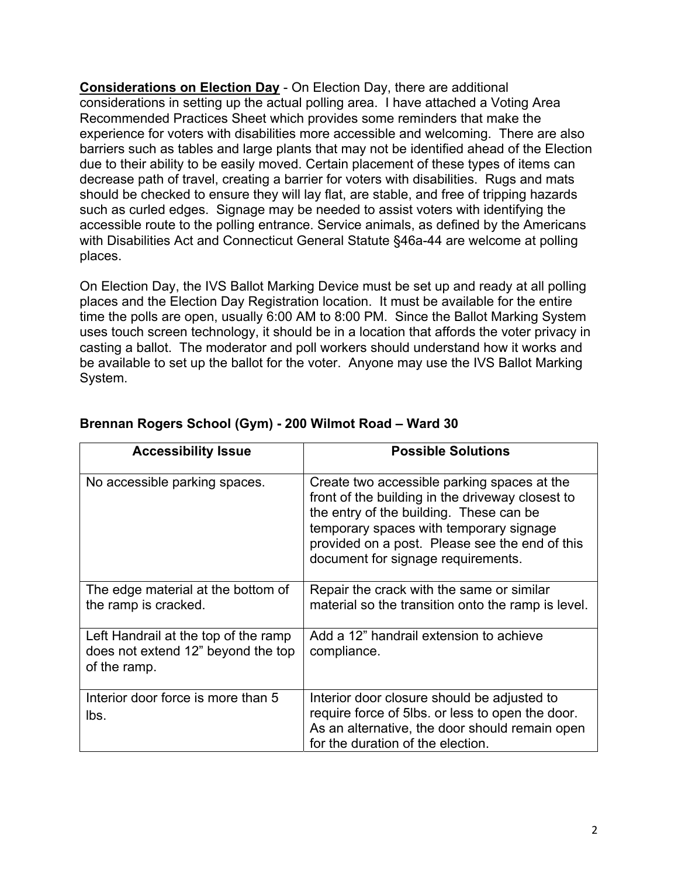**Considerations on Election Day** - On Election Day, there are additional considerations in setting up the actual polling area. I have attached a Voting Area Recommended Practices Sheet which provides some reminders that make the experience for voters with disabilities more accessible and welcoming. There are also barriers such as tables and large plants that may not be identified ahead of the Election due to their ability to be easily moved. Certain placement of these types of items can decrease path of travel, creating a barrier for voters with disabilities. Rugs and mats should be checked to ensure they will lay flat, are stable, and free of tripping hazards such as curled edges. Signage may be needed to assist voters with identifying the accessible route to the polling entrance. Service animals, as defined by the Americans with Disabilities Act and Connecticut General Statute §46a-44 are welcome at polling places.

On Election Day, the IVS Ballot Marking Device must be set up and ready at all polling places and the Election Day Registration location. It must be available for the entire time the polls are open, usually 6:00 AM to 8:00 PM. Since the Ballot Marking System uses touch screen technology, it should be in a location that affords the voter privacy in casting a ballot. The moderator and poll workers should understand how it works and be available to set up the ballot for the voter. Anyone may use the IVS Ballot Marking System.

| <b>Accessibility Issue</b>                                                                 | <b>Possible Solutions</b>                                                                                                                                                                                                                                                     |
|--------------------------------------------------------------------------------------------|-------------------------------------------------------------------------------------------------------------------------------------------------------------------------------------------------------------------------------------------------------------------------------|
| No accessible parking spaces.                                                              | Create two accessible parking spaces at the<br>front of the building in the driveway closest to<br>the entry of the building. These can be<br>temporary spaces with temporary signage<br>provided on a post. Please see the end of this<br>document for signage requirements. |
| The edge material at the bottom of<br>the ramp is cracked.                                 | Repair the crack with the same or similar<br>material so the transition onto the ramp is level.                                                                                                                                                                               |
| Left Handrail at the top of the ramp<br>does not extend 12" beyond the top<br>of the ramp. | Add a 12" handrail extension to achieve<br>compliance.                                                                                                                                                                                                                        |
| Interior door force is more than 5<br>lbs.                                                 | Interior door closure should be adjusted to<br>require force of 5lbs. or less to open the door.<br>As an alternative, the door should remain open<br>for the duration of the election.                                                                                        |

#### **Brennan Rogers School (Gym) - 200 Wilmot Road – Ward 30**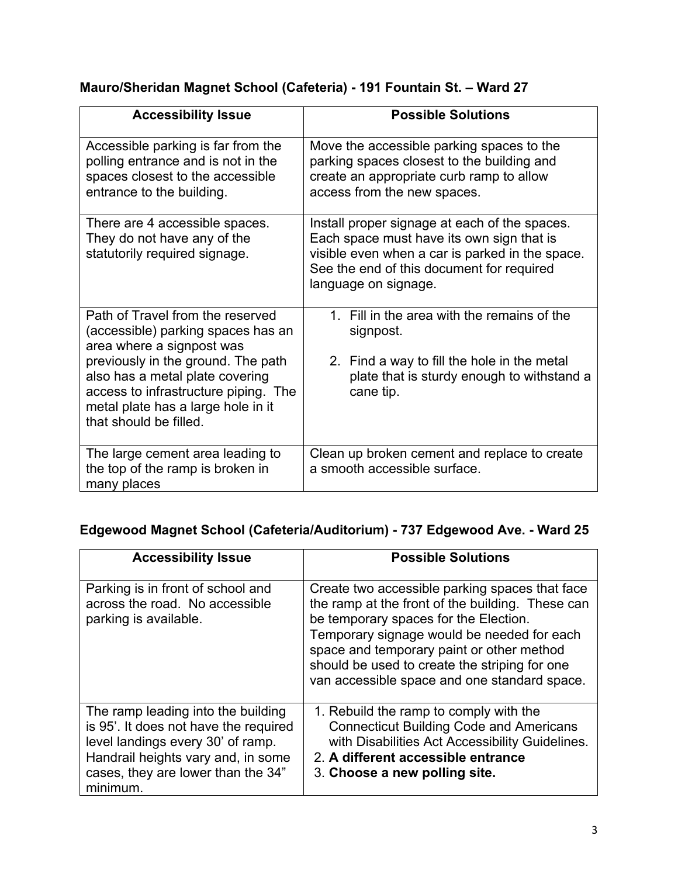# **Mauro/Sheridan Magnet School (Cafeteria) - 191 Fountain St. – Ward 27**

| <b>Accessibility Issue</b>                                                                                                                                                                                                                                                           | <b>Possible Solutions</b>                                                                                                                                                                                          |
|--------------------------------------------------------------------------------------------------------------------------------------------------------------------------------------------------------------------------------------------------------------------------------------|--------------------------------------------------------------------------------------------------------------------------------------------------------------------------------------------------------------------|
| Accessible parking is far from the<br>polling entrance and is not in the<br>spaces closest to the accessible<br>entrance to the building.                                                                                                                                            | Move the accessible parking spaces to the<br>parking spaces closest to the building and<br>create an appropriate curb ramp to allow<br>access from the new spaces.                                                 |
| There are 4 accessible spaces.<br>They do not have any of the<br>statutorily required signage.                                                                                                                                                                                       | Install proper signage at each of the spaces.<br>Each space must have its own sign that is<br>visible even when a car is parked in the space.<br>See the end of this document for required<br>language on signage. |
| Path of Travel from the reserved<br>(accessible) parking spaces has an<br>area where a signpost was<br>previously in the ground. The path<br>also has a metal plate covering<br>access to infrastructure piping. The<br>metal plate has a large hole in it<br>that should be filled. | 1. Fill in the area with the remains of the<br>signpost.<br>2. Find a way to fill the hole in the metal<br>plate that is sturdy enough to withstand a<br>cane tip.                                                 |
| The large cement area leading to<br>the top of the ramp is broken in<br>many places                                                                                                                                                                                                  | Clean up broken cement and replace to create<br>a smooth accessible surface.                                                                                                                                       |

# **Edgewood Magnet School (Cafeteria/Auditorium) - 737 Edgewood Ave. - Ward 25**

| <b>Accessibility Issue</b>                                                                                                                                                                               | <b>Possible Solutions</b>                                                                                                                                                                                                                                                                                                               |
|----------------------------------------------------------------------------------------------------------------------------------------------------------------------------------------------------------|-----------------------------------------------------------------------------------------------------------------------------------------------------------------------------------------------------------------------------------------------------------------------------------------------------------------------------------------|
| Parking is in front of school and<br>across the road. No accessible<br>parking is available.                                                                                                             | Create two accessible parking spaces that face<br>the ramp at the front of the building. These can<br>be temporary spaces for the Election.<br>Temporary signage would be needed for each<br>space and temporary paint or other method<br>should be used to create the striping for one<br>van accessible space and one standard space. |
| The ramp leading into the building<br>is 95'. It does not have the required<br>level landings every 30' of ramp.<br>Handrail heights vary and, in some<br>cases, they are lower than the 34"<br>minimum. | 1. Rebuild the ramp to comply with the<br><b>Connecticut Building Code and Americans</b><br>with Disabilities Act Accessibility Guidelines.<br>2. A different accessible entrance<br>3. Choose a new polling site.                                                                                                                      |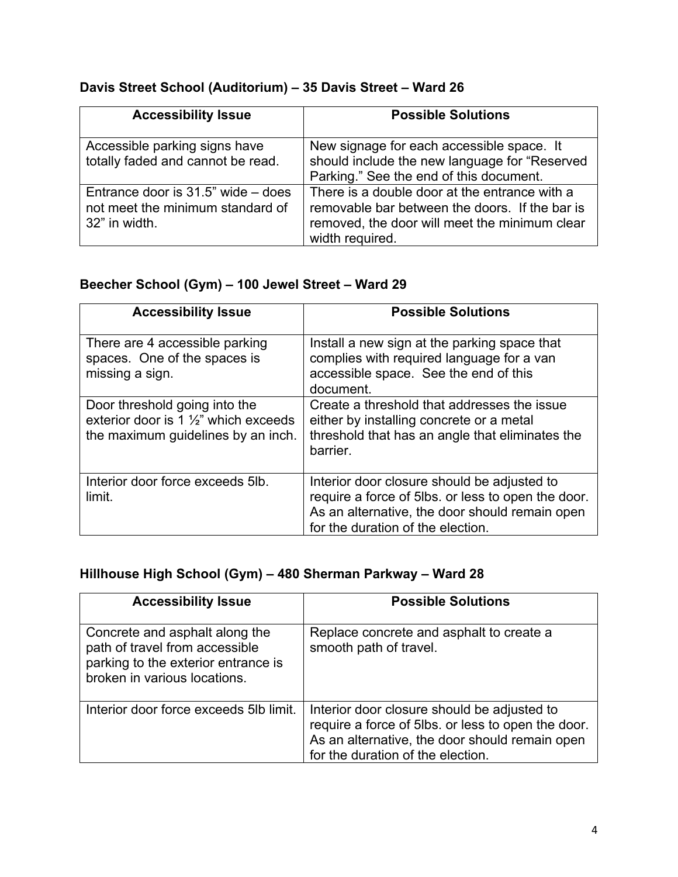### **Davis Street School (Auditorium) – 35 Davis Street – Ward 26**

| <b>Accessibility Issue</b>                                                              | <b>Possible Solutions</b>                                                                                                                                           |
|-----------------------------------------------------------------------------------------|---------------------------------------------------------------------------------------------------------------------------------------------------------------------|
| Accessible parking signs have<br>totally faded and cannot be read.                      | New signage for each accessible space. It<br>should include the new language for "Reserved<br>Parking." See the end of this document.                               |
| Entrance door is 31.5" wide – does<br>not meet the minimum standard of<br>32" in width. | There is a double door at the entrance with a<br>removable bar between the doors. If the bar is<br>removed, the door will meet the minimum clear<br>width required. |

# **Beecher School (Gym) – 100 Jewel Street – Ward 29**

| <b>Accessibility Issue</b>                                                                                              | <b>Possible Solutions</b>                                                                                                                                                                |
|-------------------------------------------------------------------------------------------------------------------------|------------------------------------------------------------------------------------------------------------------------------------------------------------------------------------------|
| There are 4 accessible parking<br>spaces. One of the spaces is<br>missing a sign.                                       | Install a new sign at the parking space that<br>complies with required language for a van<br>accessible space. See the end of this<br>document.                                          |
| Door threshold going into the<br>exterior door is 1 $\frac{1}{2}$ " which exceeds<br>the maximum guidelines by an inch. | Create a threshold that addresses the issue<br>either by installing concrete or a metal<br>threshold that has an angle that eliminates the<br>barrier.                                   |
| Interior door force exceeds 5lb.<br>limit.                                                                              | Interior door closure should be adjusted to<br>require a force of 5lbs. or less to open the door.<br>As an alternative, the door should remain open<br>for the duration of the election. |

# **Hillhouse High School (Gym) – 480 Sherman Parkway – Ward 28**

| <b>Accessibility Issue</b>                                                                                                              | <b>Possible Solutions</b>                                                                                                                                                                |
|-----------------------------------------------------------------------------------------------------------------------------------------|------------------------------------------------------------------------------------------------------------------------------------------------------------------------------------------|
| Concrete and asphalt along the<br>path of travel from accessible<br>parking to the exterior entrance is<br>broken in various locations. | Replace concrete and asphalt to create a<br>smooth path of travel.                                                                                                                       |
| Interior door force exceeds 5lb limit.                                                                                                  | Interior door closure should be adjusted to<br>require a force of 5lbs. or less to open the door.<br>As an alternative, the door should remain open<br>for the duration of the election. |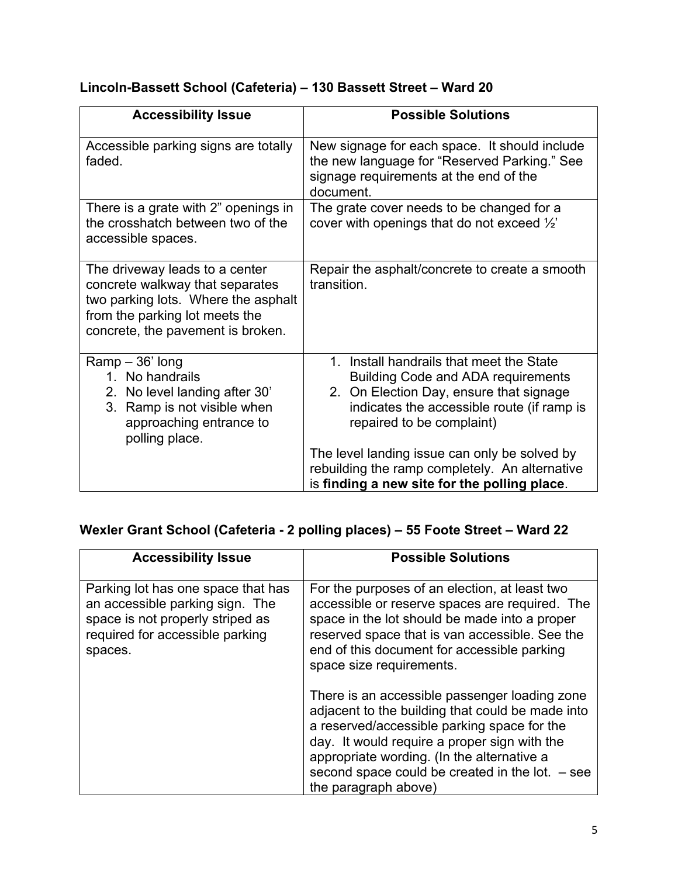# **Lincoln-Bassett School (Cafeteria) – 130 Bassett Street – Ward 20**

| <b>Accessibility Issue</b>                                                                                                                                                      | <b>Possible Solutions</b>                                                                                                                                                                                   |
|---------------------------------------------------------------------------------------------------------------------------------------------------------------------------------|-------------------------------------------------------------------------------------------------------------------------------------------------------------------------------------------------------------|
| Accessible parking signs are totally<br>faded.                                                                                                                                  | New signage for each space. It should include<br>the new language for "Reserved Parking." See<br>signage requirements at the end of the<br>document.                                                        |
| There is a grate with 2" openings in<br>the crosshatch between two of the<br>accessible spaces.                                                                                 | The grate cover needs to be changed for a<br>cover with openings that do not exceed $\frac{1}{2}$                                                                                                           |
| The driveway leads to a center<br>concrete walkway that separates<br>two parking lots. Where the asphalt<br>from the parking lot meets the<br>concrete, the pavement is broken. | Repair the asphalt/concrete to create a smooth<br>transition.                                                                                                                                               |
| $Ramp - 36'$ long<br>1. No handrails<br>2. No level landing after 30'<br>3 <sup>1</sup><br>Ramp is not visible when<br>approaching entrance to<br>polling place.                | 1. Install handrails that meet the State<br><b>Building Code and ADA requirements</b><br>2. On Election Day, ensure that signage<br>indicates the accessible route (if ramp is<br>repaired to be complaint) |
|                                                                                                                                                                                 | The level landing issue can only be solved by<br>rebuilding the ramp completely. An alternative<br>is finding a new site for the polling place.                                                             |

# **Wexler Grant School (Cafeteria - 2 polling places) – 55 Foote Street – Ward 22**

| <b>Accessibility Issue</b>                                                                                                                              | <b>Possible Solutions</b>                                                                                                                                                                                                                                                                                                   |
|---------------------------------------------------------------------------------------------------------------------------------------------------------|-----------------------------------------------------------------------------------------------------------------------------------------------------------------------------------------------------------------------------------------------------------------------------------------------------------------------------|
| Parking lot has one space that has<br>an accessible parking sign. The<br>space is not properly striped as<br>required for accessible parking<br>spaces. | For the purposes of an election, at least two<br>accessible or reserve spaces are required. The<br>space in the lot should be made into a proper<br>reserved space that is van accessible. See the<br>end of this document for accessible parking<br>space size requirements.                                               |
|                                                                                                                                                         | There is an accessible passenger loading zone<br>adjacent to the building that could be made into<br>a reserved/accessible parking space for the<br>day. It would require a proper sign with the<br>appropriate wording. (In the alternative a<br>second space could be created in the lot. $-$ see<br>the paragraph above) |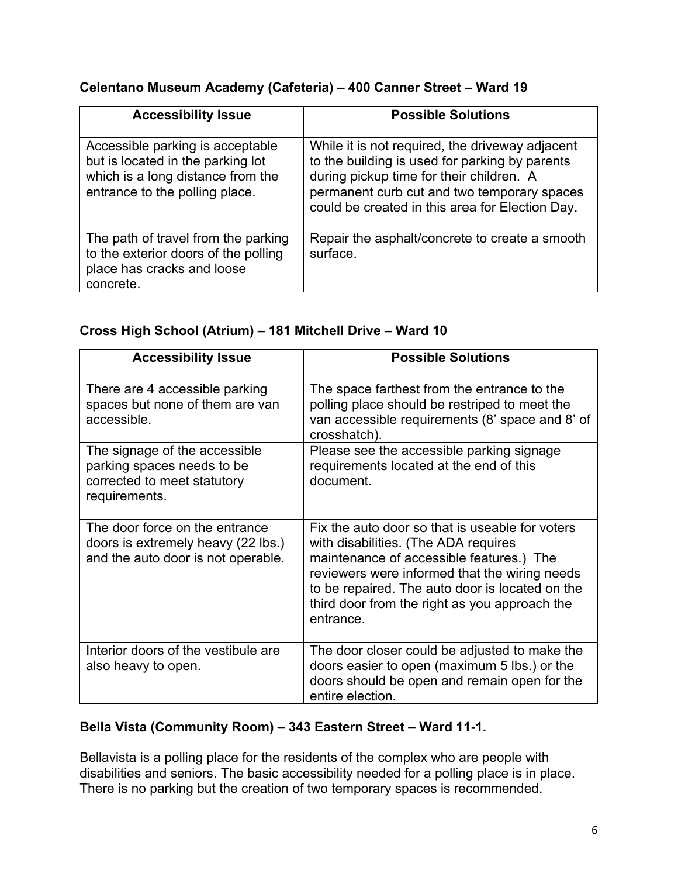#### **Celentano Museum Academy (Cafeteria) – 400 Canner Street – Ward 19**

| <b>Accessibility Issue</b>                                                                                                                   | <b>Possible Solutions</b>                                                                                                                                                                                                                       |
|----------------------------------------------------------------------------------------------------------------------------------------------|-------------------------------------------------------------------------------------------------------------------------------------------------------------------------------------------------------------------------------------------------|
| Accessible parking is acceptable<br>but is located in the parking lot<br>which is a long distance from the<br>entrance to the polling place. | While it is not required, the driveway adjacent<br>to the building is used for parking by parents<br>during pickup time for their children. A<br>permanent curb cut and two temporary spaces<br>could be created in this area for Election Day. |
| The path of travel from the parking<br>to the exterior doors of the polling<br>place has cracks and loose<br>concrete.                       | Repair the asphalt/concrete to create a smooth<br>surface.                                                                                                                                                                                      |

#### **Cross High School (Atrium) – 181 Mitchell Drive – Ward 10**

| <b>Accessibility Issue</b>                                                                                  | <b>Possible Solutions</b>                                                                                                                                                                                                                                                                             |
|-------------------------------------------------------------------------------------------------------------|-------------------------------------------------------------------------------------------------------------------------------------------------------------------------------------------------------------------------------------------------------------------------------------------------------|
| There are 4 accessible parking<br>spaces but none of them are van<br>accessible.                            | The space farthest from the entrance to the<br>polling place should be restriped to meet the<br>van accessible requirements (8' space and 8' of<br>crosshatch).                                                                                                                                       |
| The signage of the accessible<br>parking spaces needs to be<br>corrected to meet statutory<br>requirements. | Please see the accessible parking signage<br>requirements located at the end of this<br>document.                                                                                                                                                                                                     |
| The door force on the entrance<br>doors is extremely heavy (22 lbs.)<br>and the auto door is not operable.  | Fix the auto door so that is useable for voters<br>with disabilities. (The ADA requires<br>maintenance of accessible features.) The<br>reviewers were informed that the wiring needs<br>to be repaired. The auto door is located on the<br>third door from the right as you approach the<br>entrance. |
| Interior doors of the vestibule are<br>also heavy to open.                                                  | The door closer could be adjusted to make the<br>doors easier to open (maximum 5 lbs.) or the<br>doors should be open and remain open for the<br>entire election.                                                                                                                                     |

#### **Bella Vista (Community Room) – 343 Eastern Street – Ward 11-1.**

Bellavista is a polling place for the residents of the complex who are people with disabilities and seniors. The basic accessibility needed for a polling place is in place. There is no parking but the creation of two temporary spaces is recommended.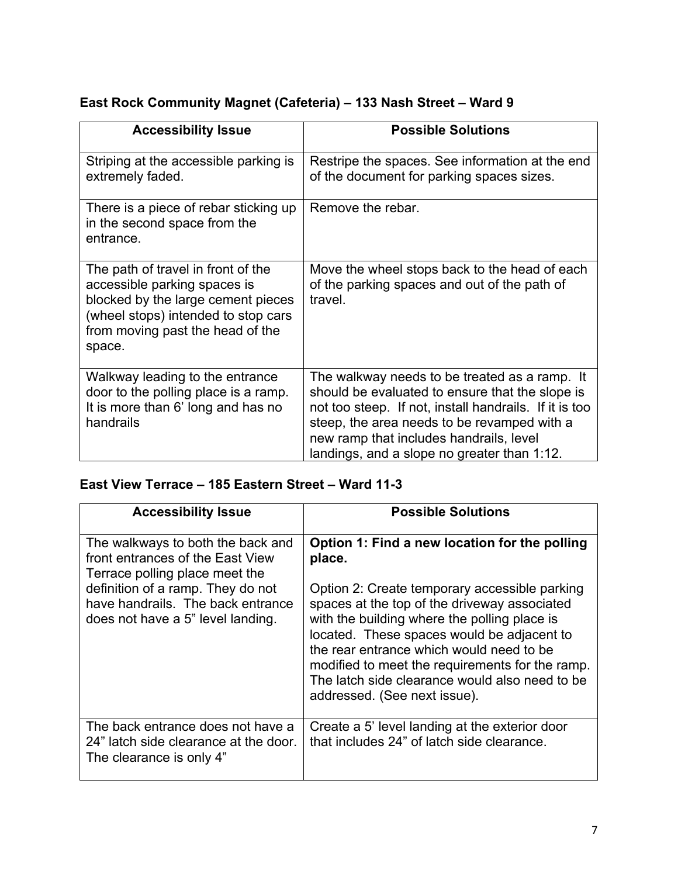#### **East Rock Community Magnet (Cafeteria) – 133 Nash Street – Ward 9**

| <b>Accessibility Issue</b>                                                                                                                                                                    | <b>Possible Solutions</b>                                                                                                                                                                                                                                                                           |
|-----------------------------------------------------------------------------------------------------------------------------------------------------------------------------------------------|-----------------------------------------------------------------------------------------------------------------------------------------------------------------------------------------------------------------------------------------------------------------------------------------------------|
| Striping at the accessible parking is<br>extremely faded.                                                                                                                                     | Restripe the spaces. See information at the end<br>of the document for parking spaces sizes.                                                                                                                                                                                                        |
| There is a piece of rebar sticking up<br>in the second space from the<br>entrance.                                                                                                            | Remove the rebar.                                                                                                                                                                                                                                                                                   |
| The path of travel in front of the<br>accessible parking spaces is<br>blocked by the large cement pieces<br>(wheel stops) intended to stop cars<br>from moving past the head of the<br>space. | Move the wheel stops back to the head of each<br>of the parking spaces and out of the path of<br>travel.                                                                                                                                                                                            |
| Walkway leading to the entrance<br>door to the polling place is a ramp.<br>It is more than 6' long and has no<br>handrails                                                                    | The walkway needs to be treated as a ramp. It<br>should be evaluated to ensure that the slope is<br>not too steep. If not, install handrails. If it is too<br>steep, the area needs to be revamped with a<br>new ramp that includes handrails, level<br>landings, and a slope no greater than 1:12. |

# **East View Terrace – 185 Eastern Street – Ward 11-3**

| <b>Accessibility Issue</b>                                                                                                                                                                                             | <b>Possible Solutions</b>                                                                                                                                                                                                                                                                                                                                                                                                               |
|------------------------------------------------------------------------------------------------------------------------------------------------------------------------------------------------------------------------|-----------------------------------------------------------------------------------------------------------------------------------------------------------------------------------------------------------------------------------------------------------------------------------------------------------------------------------------------------------------------------------------------------------------------------------------|
| The walkways to both the back and<br>front entrances of the East View<br>Terrace polling place meet the<br>definition of a ramp. They do not<br>have handrails. The back entrance<br>does not have a 5" level landing. | Option 1: Find a new location for the polling<br>place.<br>Option 2: Create temporary accessible parking<br>spaces at the top of the driveway associated<br>with the building where the polling place is<br>located. These spaces would be adjacent to<br>the rear entrance which would need to be<br>modified to meet the requirements for the ramp.<br>The latch side clearance would also need to be<br>addressed. (See next issue). |
| The back entrance does not have a<br>24" latch side clearance at the door.<br>The clearance is only 4"                                                                                                                 | Create a 5' level landing at the exterior door<br>that includes 24" of latch side clearance.                                                                                                                                                                                                                                                                                                                                            |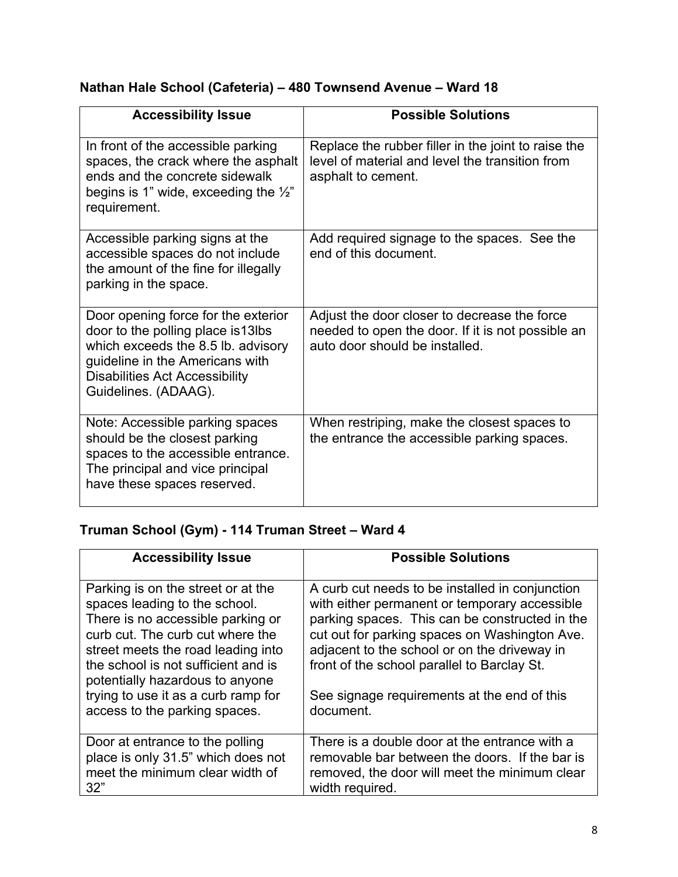### **Nathan Hale School (Cafeteria) – 480 Townsend Avenue – Ward 18**

| <b>Accessibility Issue</b>                                                                                                                                                                                          | <b>Possible Solutions</b>                                                                                                           |
|---------------------------------------------------------------------------------------------------------------------------------------------------------------------------------------------------------------------|-------------------------------------------------------------------------------------------------------------------------------------|
| In front of the accessible parking<br>spaces, the crack where the asphalt<br>ends and the concrete sidewalk<br>begins is 1" wide, exceeding the $\frac{1}{2}$ "<br>requirement.                                     | Replace the rubber filler in the joint to raise the<br>level of material and level the transition from<br>asphalt to cement.        |
| Accessible parking signs at the<br>accessible spaces do not include<br>the amount of the fine for illegally<br>parking in the space.                                                                                | Add required signage to the spaces. See the<br>end of this document.                                                                |
| Door opening force for the exterior<br>door to the polling place is 13lbs<br>which exceeds the 8.5 lb. advisory<br>guideline in the Americans with<br><b>Disabilities Act Accessibility</b><br>Guidelines. (ADAAG). | Adjust the door closer to decrease the force<br>needed to open the door. If it is not possible an<br>auto door should be installed. |
| Note: Accessible parking spaces<br>should be the closest parking<br>spaces to the accessible entrance.<br>The principal and vice principal<br>have these spaces reserved.                                           | When restriping, make the closest spaces to<br>the entrance the accessible parking spaces.                                          |

# **Truman School (Gym) - 114 Truman Street – Ward 4**

| <b>Accessibility Issue</b>                                                                                                                                                                                                                                   | <b>Possible Solutions</b>                                                                                                                                                                                                                                                                          |
|--------------------------------------------------------------------------------------------------------------------------------------------------------------------------------------------------------------------------------------------------------------|----------------------------------------------------------------------------------------------------------------------------------------------------------------------------------------------------------------------------------------------------------------------------------------------------|
| Parking is on the street or at the<br>spaces leading to the school.<br>There is no accessible parking or<br>curb cut. The curb cut where the<br>street meets the road leading into<br>the school is not sufficient and is<br>potentially hazardous to anyone | A curb cut needs to be installed in conjunction<br>with either permanent or temporary accessible<br>parking spaces. This can be constructed in the<br>cut out for parking spaces on Washington Ave.<br>adjacent to the school or on the driveway in<br>front of the school parallel to Barclay St. |
| trying to use it as a curb ramp for                                                                                                                                                                                                                          | See signage requirements at the end of this                                                                                                                                                                                                                                                        |
| access to the parking spaces.                                                                                                                                                                                                                                | document.                                                                                                                                                                                                                                                                                          |
| Door at entrance to the polling                                                                                                                                                                                                                              | There is a double door at the entrance with a                                                                                                                                                                                                                                                      |
| place is only 31.5" which does not                                                                                                                                                                                                                           | removable bar between the doors. If the bar is                                                                                                                                                                                                                                                     |
| meet the minimum clear width of                                                                                                                                                                                                                              | removed, the door will meet the minimum clear                                                                                                                                                                                                                                                      |
| 32"                                                                                                                                                                                                                                                          | width required.                                                                                                                                                                                                                                                                                    |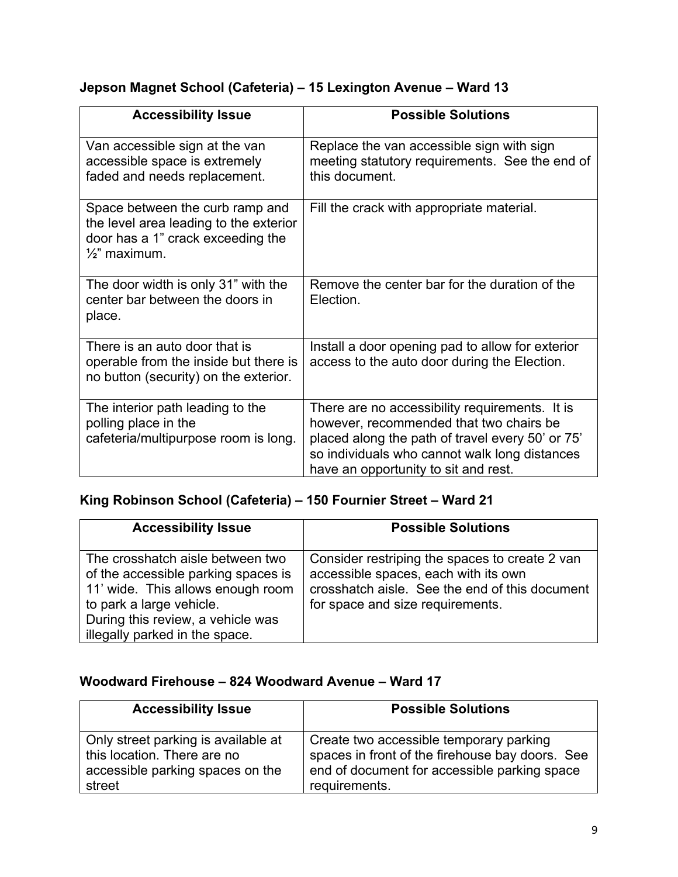### **Jepson Magnet School (Cafeteria) – 15 Lexington Avenue – Ward 13**

| <b>Accessibility Issue</b>                                                                                                                 | <b>Possible Solutions</b>                                                                                                                                                                                                              |
|--------------------------------------------------------------------------------------------------------------------------------------------|----------------------------------------------------------------------------------------------------------------------------------------------------------------------------------------------------------------------------------------|
| Van accessible sign at the van<br>accessible space is extremely<br>faded and needs replacement.                                            | Replace the van accessible sign with sign<br>meeting statutory requirements. See the end of<br>this document.                                                                                                                          |
| Space between the curb ramp and<br>the level area leading to the exterior<br>door has a 1" crack exceeding the<br>$\frac{1}{2}$ " maximum. | Fill the crack with appropriate material.                                                                                                                                                                                              |
| The door width is only 31" with the<br>center bar between the doors in<br>place.                                                           | Remove the center bar for the duration of the<br>Election.                                                                                                                                                                             |
| There is an auto door that is<br>operable from the inside but there is<br>no button (security) on the exterior.                            | Install a door opening pad to allow for exterior<br>access to the auto door during the Election.                                                                                                                                       |
| The interior path leading to the<br>polling place in the<br>cafeteria/multipurpose room is long.                                           | There are no accessibility requirements. It is<br>however, recommended that two chairs be<br>placed along the path of travel every 50' or 75'<br>so individuals who cannot walk long distances<br>have an opportunity to sit and rest. |

### **King Robinson School (Cafeteria) – 150 Fournier Street – Ward 21**

| <b>Accessibility Issue</b>                                                                                                                                                                                      | <b>Possible Solutions</b>                                                                                                                                                    |
|-----------------------------------------------------------------------------------------------------------------------------------------------------------------------------------------------------------------|------------------------------------------------------------------------------------------------------------------------------------------------------------------------------|
| The crosshatch aisle between two<br>of the accessible parking spaces is<br>11' wide. This allows enough room<br>to park a large vehicle.<br>During this review, a vehicle was<br>illegally parked in the space. | Consider restriping the spaces to create 2 van<br>accessible spaces, each with its own<br>crosshatch aisle. See the end of this document<br>for space and size requirements. |

#### **Woodward Firehouse – 824 Woodward Avenue – Ward 17**

| <b>Accessibility Issue</b>          | <b>Possible Solutions</b>                       |
|-------------------------------------|-------------------------------------------------|
| Only street parking is available at | Create two accessible temporary parking         |
| this location. There are no         | spaces in front of the firehouse bay doors. See |
| accessible parking spaces on the    | end of document for accessible parking space    |
| street                              | requirements.                                   |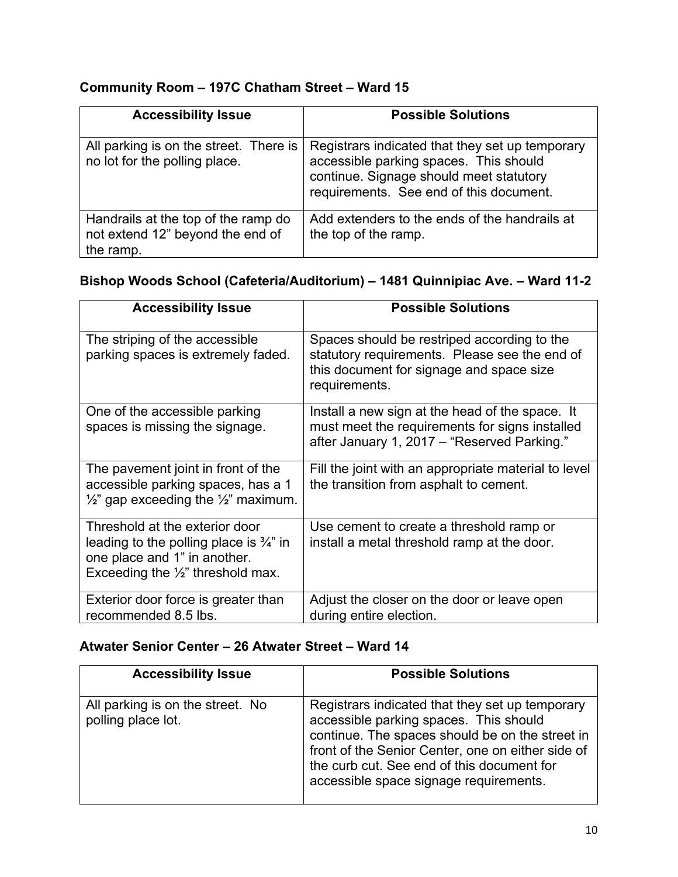#### **Community Room – 197C Chatham Street – Ward 15**

| <b>Accessibility Issue</b>                                                           | <b>Possible Solutions</b>                                                                                                                                                       |
|--------------------------------------------------------------------------------------|---------------------------------------------------------------------------------------------------------------------------------------------------------------------------------|
| All parking is on the street. There is<br>no lot for the polling place.              | Registrars indicated that they set up temporary<br>accessible parking spaces. This should<br>continue. Signage should meet statutory<br>requirements. See end of this document. |
| Handrails at the top of the ramp do<br>not extend 12" beyond the end of<br>the ramp. | Add extenders to the ends of the handrails at<br>the top of the ramp.                                                                                                           |

#### **Bishop Woods School (Cafeteria/Auditorium) – 1481 Quinnipiac Ave. – Ward 11-2**

| <b>Accessibility Issue</b>                                                                                                                                           | <b>Possible Solutions</b>                                                                                                                                 |
|----------------------------------------------------------------------------------------------------------------------------------------------------------------------|-----------------------------------------------------------------------------------------------------------------------------------------------------------|
| The striping of the accessible<br>parking spaces is extremely faded.                                                                                                 | Spaces should be restriped according to the<br>statutory requirements. Please see the end of<br>this document for signage and space size<br>requirements. |
| One of the accessible parking<br>spaces is missing the signage.                                                                                                      | Install a new sign at the head of the space. It<br>must meet the requirements for signs installed<br>after January 1, 2017 – "Reserved Parking."          |
| The pavement joint in front of the<br>accessible parking spaces, has a 1<br>$\frac{1}{2}$ gap exceeding the $\frac{1}{2}$ maximum.                                   | Fill the joint with an appropriate material to level<br>the transition from asphalt to cement.                                                            |
| Threshold at the exterior door<br>leading to the polling place is $\frac{3}{4}$ " in<br>one place and 1" in another.<br>Exceeding the $\frac{1}{2}$ " threshold max. | Use cement to create a threshold ramp or<br>install a metal threshold ramp at the door.                                                                   |
| Exterior door force is greater than<br>recommended 8.5 lbs.                                                                                                          | Adjust the closer on the door or leave open<br>during entire election.                                                                                    |

### **Atwater Senior Center – 26 Atwater Street – Ward 14**

| <b>Accessibility Issue</b>                             | <b>Possible Solutions</b>                                                                                                                                                                                                                                                                 |
|--------------------------------------------------------|-------------------------------------------------------------------------------------------------------------------------------------------------------------------------------------------------------------------------------------------------------------------------------------------|
| All parking is on the street. No<br>polling place lot. | Registrars indicated that they set up temporary<br>accessible parking spaces. This should<br>continue. The spaces should be on the street in<br>front of the Senior Center, one on either side of<br>the curb cut. See end of this document for<br>accessible space signage requirements. |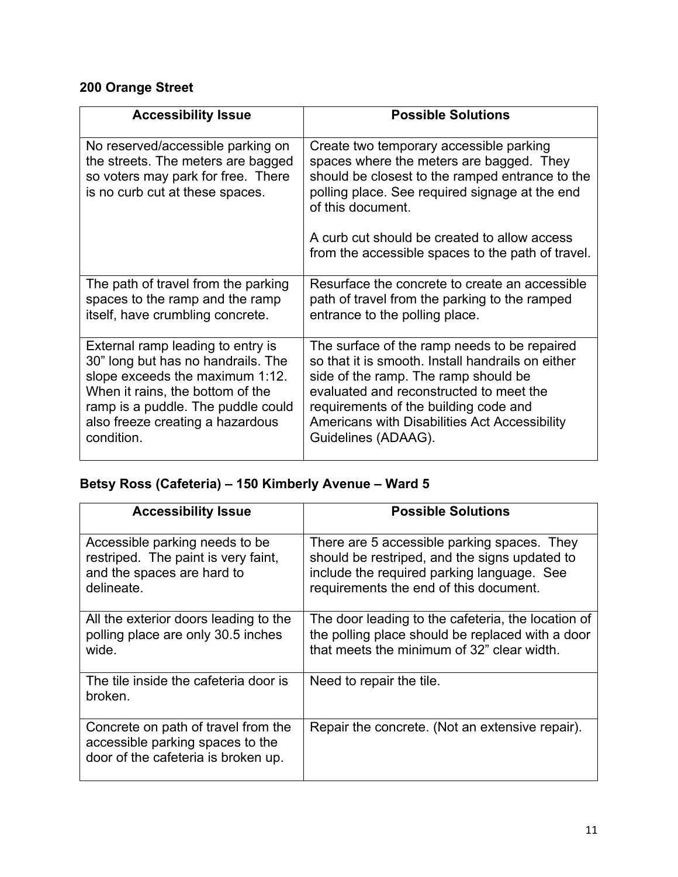# **200 Orange Street**

| <b>Accessibility Issue</b>                                                                                                                                                                                                             | <b>Possible Solutions</b>                                                                                                                                                                                                                                                                             |
|----------------------------------------------------------------------------------------------------------------------------------------------------------------------------------------------------------------------------------------|-------------------------------------------------------------------------------------------------------------------------------------------------------------------------------------------------------------------------------------------------------------------------------------------------------|
| No reserved/accessible parking on<br>the streets. The meters are bagged<br>so voters may park for free. There<br>is no curb cut at these spaces.                                                                                       | Create two temporary accessible parking<br>spaces where the meters are bagged. They<br>should be closest to the ramped entrance to the<br>polling place. See required signage at the end<br>of this document.                                                                                         |
|                                                                                                                                                                                                                                        | A curb cut should be created to allow access<br>from the accessible spaces to the path of travel.                                                                                                                                                                                                     |
| The path of travel from the parking<br>spaces to the ramp and the ramp<br>itself, have crumbling concrete.                                                                                                                             | Resurface the concrete to create an accessible<br>path of travel from the parking to the ramped<br>entrance to the polling place.                                                                                                                                                                     |
| External ramp leading to entry is<br>30" long but has no handrails. The<br>slope exceeds the maximum 1:12.<br>When it rains, the bottom of the<br>ramp is a puddle. The puddle could<br>also freeze creating a hazardous<br>condition. | The surface of the ramp needs to be repaired<br>so that it is smooth. Install handrails on either<br>side of the ramp. The ramp should be<br>evaluated and reconstructed to meet the<br>requirements of the building code and<br>Americans with Disabilities Act Accessibility<br>Guidelines (ADAAG). |

# **Betsy Ross (Cafeteria) – 150 Kimberly Avenue – Ward 5**

| <b>Accessibility Issue</b>                                                                                        | <b>Possible Solutions</b>                                                                                                                                                            |
|-------------------------------------------------------------------------------------------------------------------|--------------------------------------------------------------------------------------------------------------------------------------------------------------------------------------|
| Accessible parking needs to be<br>restriped. The paint is very faint,<br>and the spaces are hard to<br>delineate. | There are 5 accessible parking spaces. They<br>should be restriped, and the signs updated to<br>include the required parking language. See<br>requirements the end of this document. |
| All the exterior doors leading to the<br>polling place are only 30.5 inches<br>wide.                              | The door leading to the cafeteria, the location of<br>the polling place should be replaced with a door<br>that meets the minimum of 32" clear width.                                 |
| The tile inside the cafeteria door is<br>broken.                                                                  | Need to repair the tile.                                                                                                                                                             |
| Concrete on path of travel from the<br>accessible parking spaces to the<br>door of the cafeteria is broken up.    | Repair the concrete. (Not an extensive repair).                                                                                                                                      |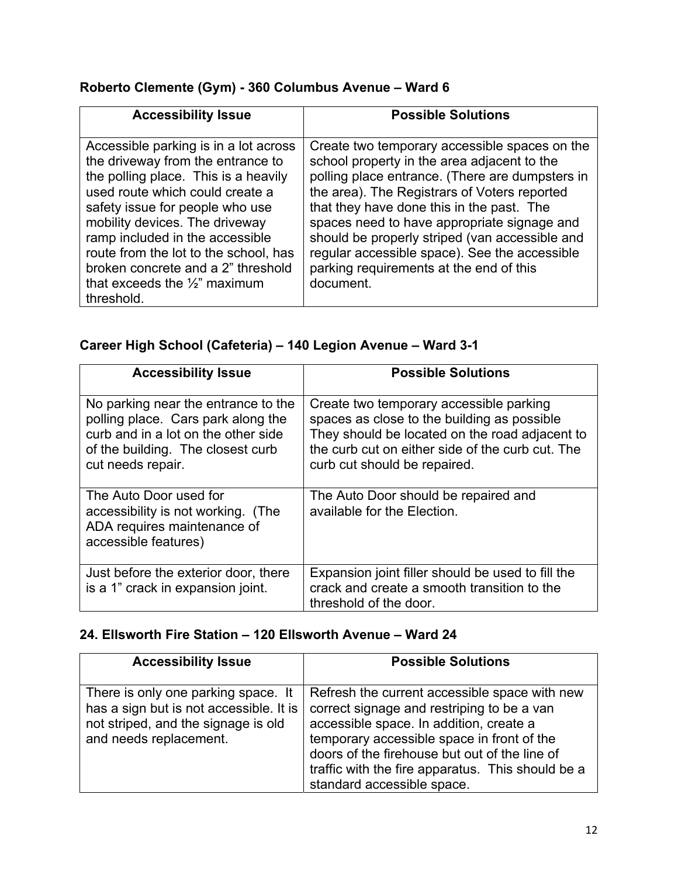### **Roberto Clemente (Gym) - 360 Columbus Avenue – Ward 6**

| <b>Accessibility Issue</b>                                                                                                                                                                                                                                                                                                                                                                             | <b>Possible Solutions</b>                                                                                                                                                                                                                                                                                                                                                                                                                              |
|--------------------------------------------------------------------------------------------------------------------------------------------------------------------------------------------------------------------------------------------------------------------------------------------------------------------------------------------------------------------------------------------------------|--------------------------------------------------------------------------------------------------------------------------------------------------------------------------------------------------------------------------------------------------------------------------------------------------------------------------------------------------------------------------------------------------------------------------------------------------------|
| Accessible parking is in a lot across<br>the driveway from the entrance to<br>the polling place. This is a heavily<br>used route which could create a<br>safety issue for people who use<br>mobility devices. The driveway<br>ramp included in the accessible<br>route from the lot to the school, has<br>broken concrete and a 2" threshold<br>that exceeds the $\frac{1}{2}$ " maximum<br>threshold. | Create two temporary accessible spaces on the<br>school property in the area adjacent to the<br>polling place entrance. (There are dumpsters in<br>the area). The Registrars of Voters reported<br>that they have done this in the past. The<br>spaces need to have appropriate signage and<br>should be properly striped (van accessible and<br>regular accessible space). See the accessible<br>parking requirements at the end of this<br>document. |

# **Career High School (Cafeteria) – 140 Legion Avenue – Ward 3-1**

| <b>Accessibility Issue</b>                                                                                                                                                 | <b>Possible Solutions</b>                                                                                                                                                                                                    |
|----------------------------------------------------------------------------------------------------------------------------------------------------------------------------|------------------------------------------------------------------------------------------------------------------------------------------------------------------------------------------------------------------------------|
| No parking near the entrance to the<br>polling place. Cars park along the<br>curb and in a lot on the other side<br>of the building. The closest curb<br>cut needs repair. | Create two temporary accessible parking<br>spaces as close to the building as possible<br>They should be located on the road adjacent to<br>the curb cut on either side of the curb cut. The<br>curb cut should be repaired. |
| The Auto Door used for<br>accessibility is not working. (The<br>ADA requires maintenance of<br>accessible features)                                                        | The Auto Door should be repaired and<br>available for the Election.                                                                                                                                                          |
| Just before the exterior door, there<br>is a 1" crack in expansion joint.                                                                                                  | Expansion joint filler should be used to fill the<br>crack and create a smooth transition to the<br>threshold of the door.                                                                                                   |

# **24. Ellsworth Fire Station – 120 Ellsworth Avenue – Ward 24**

| <b>Accessibility Issue</b>                                                                                                                      | <b>Possible Solutions</b>                                                                                                                                                                                                                                                                                                |
|-------------------------------------------------------------------------------------------------------------------------------------------------|--------------------------------------------------------------------------------------------------------------------------------------------------------------------------------------------------------------------------------------------------------------------------------------------------------------------------|
| There is only one parking space. It<br>has a sign but is not accessible. It is<br>not striped, and the signage is old<br>and needs replacement. | Refresh the current accessible space with new<br>correct signage and restriping to be a van<br>accessible space. In addition, create a<br>temporary accessible space in front of the<br>doors of the firehouse but out of the line of<br>traffic with the fire apparatus. This should be a<br>standard accessible space. |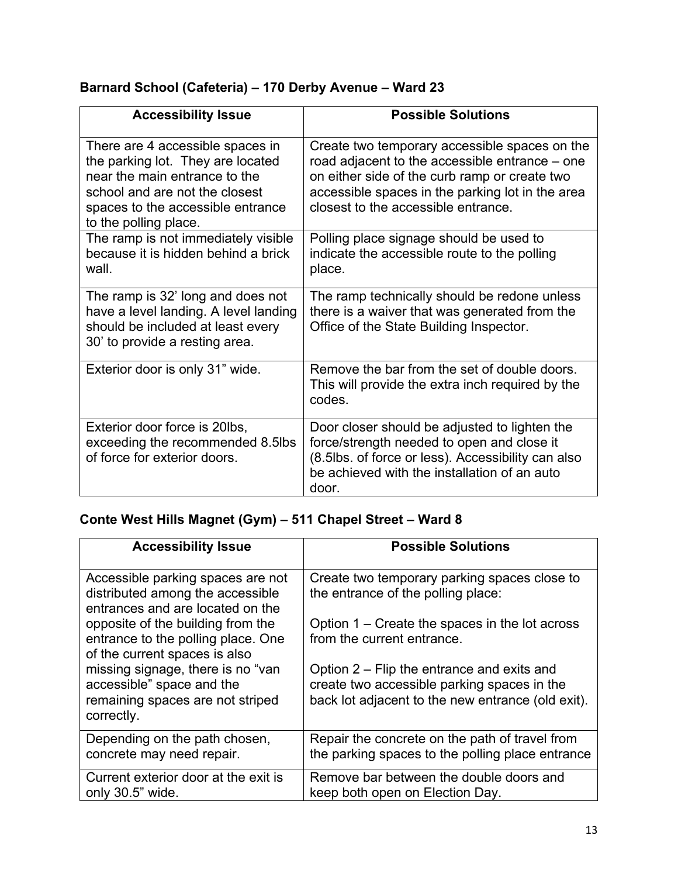# **Barnard School (Cafeteria) – 170 Derby Avenue – Ward 23**

| <b>Accessibility Issue</b>                                                                                                                                                                             | <b>Possible Solutions</b>                                                                                                                                                                                                                   |
|--------------------------------------------------------------------------------------------------------------------------------------------------------------------------------------------------------|---------------------------------------------------------------------------------------------------------------------------------------------------------------------------------------------------------------------------------------------|
| There are 4 accessible spaces in<br>the parking lot. They are located<br>near the main entrance to the<br>school and are not the closest<br>spaces to the accessible entrance<br>to the polling place. | Create two temporary accessible spaces on the<br>road adjacent to the accessible entrance – one<br>on either side of the curb ramp or create two<br>accessible spaces in the parking lot in the area<br>closest to the accessible entrance. |
| The ramp is not immediately visible<br>because it is hidden behind a brick<br>wall.                                                                                                                    | Polling place signage should be used to<br>indicate the accessible route to the polling<br>place.                                                                                                                                           |
| The ramp is 32' long and does not<br>have a level landing. A level landing<br>should be included at least every<br>30' to provide a resting area.                                                      | The ramp technically should be redone unless<br>there is a waiver that was generated from the<br>Office of the State Building Inspector.                                                                                                    |
| Exterior door is only 31" wide.                                                                                                                                                                        | Remove the bar from the set of double doors.<br>This will provide the extra inch required by the<br>codes.                                                                                                                                  |
| Exterior door force is 20lbs,<br>exceeding the recommended 8.5lbs<br>of force for exterior doors.                                                                                                      | Door closer should be adjusted to lighten the<br>force/strength needed to open and close it<br>(8.5lbs. of force or less). Accessibility can also<br>be achieved with the installation of an auto<br>door.                                  |

# **Conte West Hills Magnet (Gym) – 511 Chapel Street – Ward 8**

| <b>Accessibility Issue</b>                                                                                       | <b>Possible Solutions</b>                                                                                                                        |
|------------------------------------------------------------------------------------------------------------------|--------------------------------------------------------------------------------------------------------------------------------------------------|
| Accessible parking spaces are not<br>distributed among the accessible<br>entrances and are located on the        | Create two temporary parking spaces close to<br>the entrance of the polling place:                                                               |
| opposite of the building from the<br>entrance to the polling place. One<br>of the current spaces is also         | Option 1 – Create the spaces in the lot across<br>from the current entrance.                                                                     |
| missing signage, there is no "van<br>accessible" space and the<br>remaining spaces are not striped<br>correctly. | Option $2 -$ Flip the entrance and exits and<br>create two accessible parking spaces in the<br>back lot adjacent to the new entrance (old exit). |
| Depending on the path chosen,<br>concrete may need repair.                                                       | Repair the concrete on the path of travel from<br>the parking spaces to the polling place entrance                                               |
| Current exterior door at the exit is<br>only 30.5" wide.                                                         | Remove bar between the double doors and<br>keep both open on Election Day.                                                                       |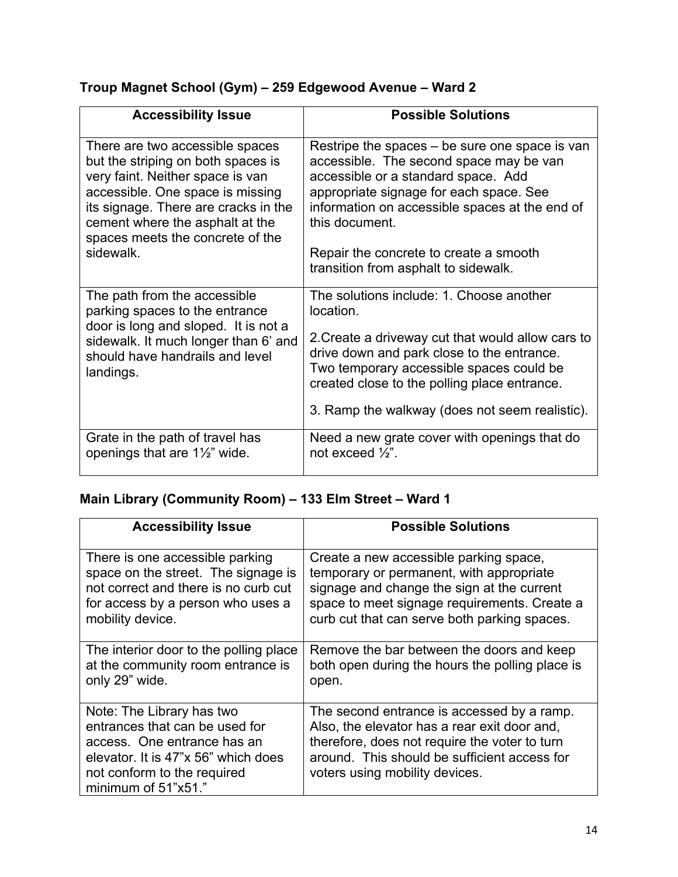# **Troup Magnet School (Gym) – 259 Edgewood Avenue – Ward 2**

| <b>Accessibility Issue</b>                                                                                                                                                                     | <b>Possible Solutions</b>                                                                                                                                                                                                                                                                              |
|------------------------------------------------------------------------------------------------------------------------------------------------------------------------------------------------|--------------------------------------------------------------------------------------------------------------------------------------------------------------------------------------------------------------------------------------------------------------------------------------------------------|
| There are two accessible spaces                                                                                                                                                                | Restripe the spaces – be sure one space is van                                                                                                                                                                                                                                                         |
| but the striping on both spaces is                                                                                                                                                             | accessible. The second space may be van                                                                                                                                                                                                                                                                |
| very faint. Neither space is van                                                                                                                                                               | accessible or a standard space. Add                                                                                                                                                                                                                                                                    |
| accessible. One space is missing                                                                                                                                                               | appropriate signage for each space. See                                                                                                                                                                                                                                                                |
| its signage. There are cracks in the                                                                                                                                                           | information on accessible spaces at the end of                                                                                                                                                                                                                                                         |
| cement where the asphalt at the                                                                                                                                                                | this document.                                                                                                                                                                                                                                                                                         |
| spaces meets the concrete of the                                                                                                                                                               | Repair the concrete to create a smooth                                                                                                                                                                                                                                                                 |
| sidewalk.                                                                                                                                                                                      | transition from asphalt to sidewalk.                                                                                                                                                                                                                                                                   |
| The path from the accessible<br>parking spaces to the entrance<br>door is long and sloped. It is not a<br>sidewalk. It much longer than 6' and<br>should have handrails and level<br>landings. | The solutions include: 1. Choose another<br>location.<br>2. Create a driveway cut that would allow cars to<br>drive down and park close to the entrance.<br>Two temporary accessible spaces could be<br>created close to the polling place entrance.<br>3. Ramp the walkway (does not seem realistic). |
| Grate in the path of travel has                                                                                                                                                                | Need a new grate cover with openings that do                                                                                                                                                                                                                                                           |
| openings that are $1\frac{1}{2}$ " wide.                                                                                                                                                       | not exceed $\frac{1}{2}$ .                                                                                                                                                                                                                                                                             |

### **Main Library (Community Room) – 133 Elm Street – Ward 1**

| <b>Accessibility Issue</b>                                                                                                                                                              | <b>Possible Solutions</b>                                                                                                                                                                                                     |
|-----------------------------------------------------------------------------------------------------------------------------------------------------------------------------------------|-------------------------------------------------------------------------------------------------------------------------------------------------------------------------------------------------------------------------------|
| There is one accessible parking                                                                                                                                                         | Create a new accessible parking space,                                                                                                                                                                                        |
| space on the street. The signage is                                                                                                                                                     | temporary or permanent, with appropriate                                                                                                                                                                                      |
| not correct and there is no curb cut                                                                                                                                                    | signage and change the sign at the current                                                                                                                                                                                    |
| for access by a person who uses a                                                                                                                                                       | space to meet signage requirements. Create a                                                                                                                                                                                  |
| mobility device.                                                                                                                                                                        | curb cut that can serve both parking spaces.                                                                                                                                                                                  |
| The interior door to the polling place                                                                                                                                                  | Remove the bar between the doors and keep                                                                                                                                                                                     |
| at the community room entrance is                                                                                                                                                       | both open during the hours the polling place is                                                                                                                                                                               |
| only 29" wide.                                                                                                                                                                          | open.                                                                                                                                                                                                                         |
| Note: The Library has two<br>entrances that can be used for<br>access. One entrance has an<br>elevator. It is 47"x 56" which does<br>not conform to the required<br>minimum of 51"x51." | The second entrance is accessed by a ramp.<br>Also, the elevator has a rear exit door and,<br>therefore, does not require the voter to turn<br>around. This should be sufficient access for<br>voters using mobility devices. |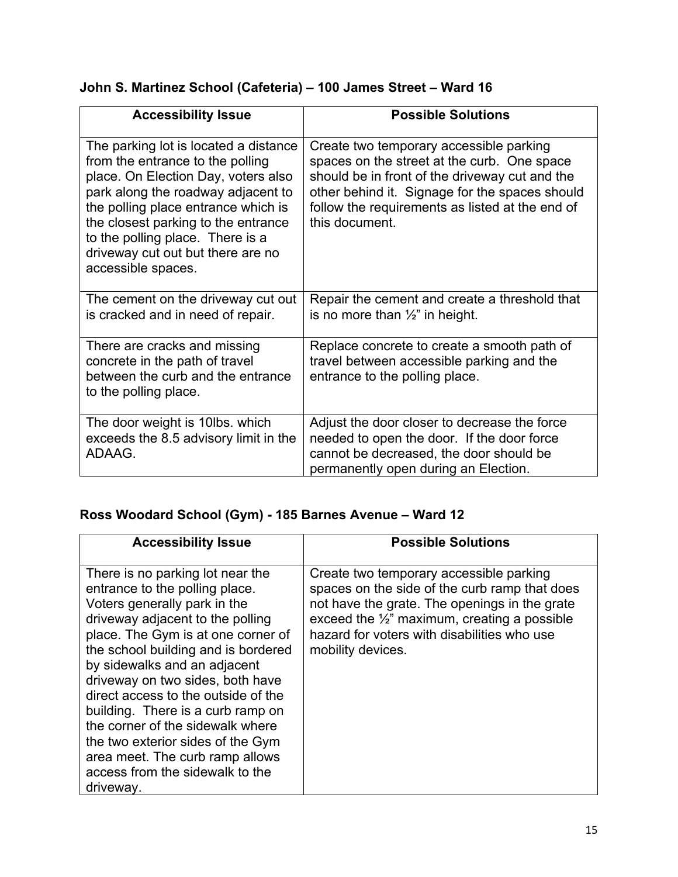|  |  | John S. Martinez School (Cafeteria) – 100 James Street – Ward 16 |
|--|--|------------------------------------------------------------------|
|--|--|------------------------------------------------------------------|

| <b>Accessibility Issue</b>                                                                                                                                                                                                                                                                                                          | <b>Possible Solutions</b>                                                                                                                                                                                                                                       |
|-------------------------------------------------------------------------------------------------------------------------------------------------------------------------------------------------------------------------------------------------------------------------------------------------------------------------------------|-----------------------------------------------------------------------------------------------------------------------------------------------------------------------------------------------------------------------------------------------------------------|
| The parking lot is located a distance<br>from the entrance to the polling<br>place. On Election Day, voters also<br>park along the roadway adjacent to<br>the polling place entrance which is<br>the closest parking to the entrance<br>to the polling place. There is a<br>driveway cut out but there are no<br>accessible spaces. | Create two temporary accessible parking<br>spaces on the street at the curb. One space<br>should be in front of the driveway cut and the<br>other behind it. Signage for the spaces should<br>follow the requirements as listed at the end of<br>this document. |
| The cement on the driveway cut out<br>is cracked and in need of repair.                                                                                                                                                                                                                                                             | Repair the cement and create a threshold that<br>is no more than $\frac{1}{2}$ " in height.                                                                                                                                                                     |
| There are cracks and missing<br>concrete in the path of travel<br>between the curb and the entrance<br>to the polling place.                                                                                                                                                                                                        | Replace concrete to create a smooth path of<br>travel between accessible parking and the<br>entrance to the polling place.                                                                                                                                      |
| The door weight is 10lbs. which<br>exceeds the 8.5 advisory limit in the<br>ADAAG.                                                                                                                                                                                                                                                  | Adjust the door closer to decrease the force<br>needed to open the door. If the door force<br>cannot be decreased, the door should be<br>permanently open during an Election.                                                                                   |

# **Ross Woodard School (Gym) - 185 Barnes Avenue – Ward 12**

| <b>Accessibility Issue</b>                                                                                                                                                                                                                                                                                                                                                                                                                                                                                                      | <b>Possible Solutions</b>                                                                                                                                                                                                                                                |
|---------------------------------------------------------------------------------------------------------------------------------------------------------------------------------------------------------------------------------------------------------------------------------------------------------------------------------------------------------------------------------------------------------------------------------------------------------------------------------------------------------------------------------|--------------------------------------------------------------------------------------------------------------------------------------------------------------------------------------------------------------------------------------------------------------------------|
| There is no parking lot near the<br>entrance to the polling place.<br>Voters generally park in the<br>driveway adjacent to the polling<br>place. The Gym is at one corner of<br>the school building and is bordered<br>by sidewalks and an adjacent<br>driveway on two sides, both have<br>direct access to the outside of the<br>building. There is a curb ramp on<br>the corner of the sidewalk where<br>the two exterior sides of the Gym<br>area meet. The curb ramp allows<br>access from the sidewalk to the<br>driveway. | Create two temporary accessible parking<br>spaces on the side of the curb ramp that does<br>not have the grate. The openings in the grate<br>exceed the $\frac{1}{2}$ " maximum, creating a possible<br>hazard for voters with disabilities who use<br>mobility devices. |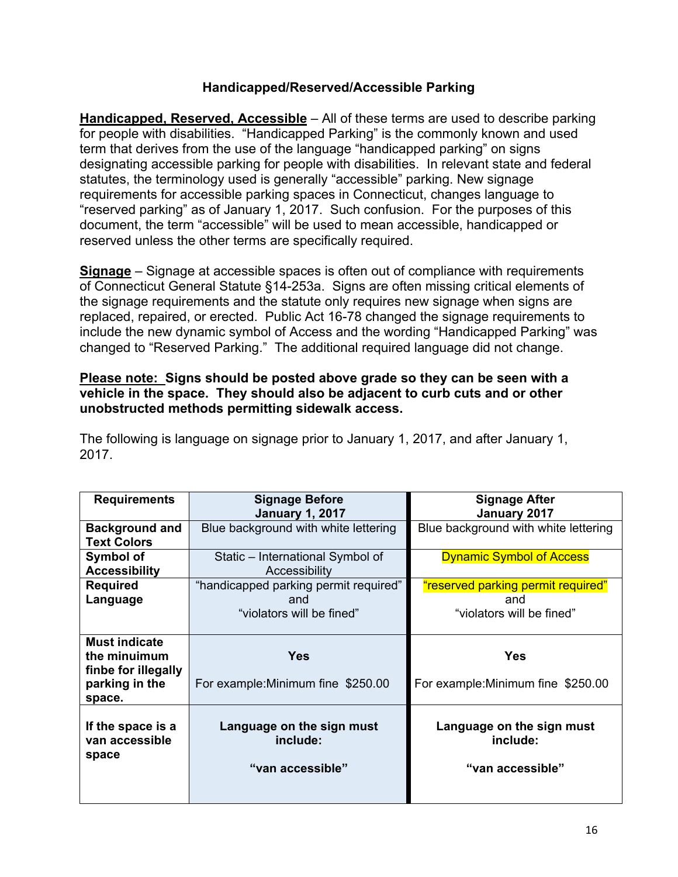#### **Handicapped/Reserved/Accessible Parking**

**Handicapped, Reserved, Accessible** – All of these terms are used to describe parking for people with disabilities. "Handicapped Parking" is the commonly known and used term that derives from the use of the language "handicapped parking" on signs designating accessible parking for people with disabilities. In relevant state and federal statutes, the terminology used is generally "accessible" parking. New signage requirements for accessible parking spaces in Connecticut, changes language to "reserved parking" as of January 1, 2017. Such confusion. For the purposes of this document, the term "accessible" will be used to mean accessible, handicapped or reserved unless the other terms are specifically required.

**Signage** – Signage at accessible spaces is often out of compliance with requirements of Connecticut General Statute §14-253a. Signs are often missing critical elements of the signage requirements and the statute only requires new signage when signs are replaced, repaired, or erected. Public Act 16-78 changed the signage requirements to include the new dynamic symbol of Access and the wording "Handicapped Parking" was changed to "Reserved Parking." The additional required language did not change.

#### **Please note: Signs should be posted above grade so they can be seen with a vehicle in the space. They should also be adjacent to curb cuts and or other unobstructed methods permitting sidewalk access.**

The following is language on signage prior to January 1, 2017, and after January 1, 2017.

| <b>Requirements</b>   | <b>Signage Before</b>                 | <b>Signage After</b>                 |  |
|-----------------------|---------------------------------------|--------------------------------------|--|
|                       | <b>January 1, 2017</b>                | January 2017                         |  |
| <b>Background and</b> | Blue background with white lettering  | Blue background with white lettering |  |
| <b>Text Colors</b>    |                                       |                                      |  |
| Symbol of             | Static – International Symbol of      | <b>Dynamic Symbol of Access</b>      |  |
| <b>Accessibility</b>  | Accessibility                         |                                      |  |
| <b>Required</b>       | "handicapped parking permit required" | "reserved parking permit required"   |  |
| Language              | and                                   | and                                  |  |
|                       | "violators will be fined"             | "violators will be fined"            |  |
|                       |                                       |                                      |  |
| <b>Must indicate</b>  |                                       |                                      |  |
| the minuimum          | <b>Yes</b>                            | <b>Yes</b>                           |  |
| finbe for illegally   |                                       |                                      |  |
| parking in the        |                                       |                                      |  |
|                       | For example: Minimum fine \$250.00    | For example: Minimum fine \$250.00   |  |
| space.                |                                       |                                      |  |
|                       |                                       |                                      |  |
| If the space is a     | Language on the sign must             | Language on the sign must            |  |
| van accessible        | include:                              | include:                             |  |
| space                 |                                       |                                      |  |
|                       | "van accessible"                      | "van accessible"                     |  |
|                       |                                       |                                      |  |